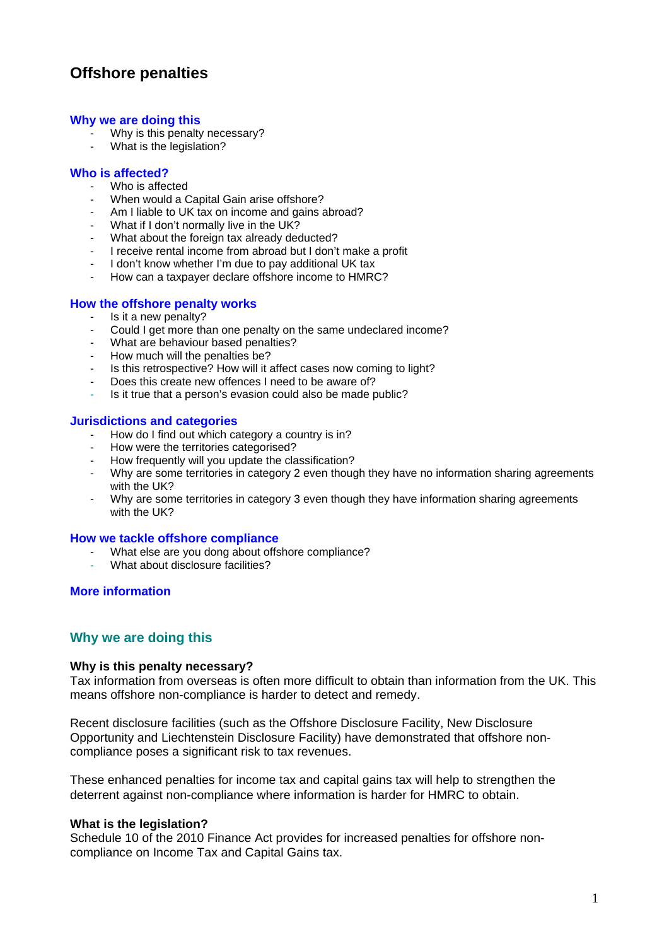# **Offshore penalties**

#### **[Why we are doing this](#page-0-0)**

- Why is this penalty necessary?
- What is the legislation?

## **[Who is affected?](#page-1-0)**

- Who is affected
- When would a Capital Gain arise offshore?
- Am I liable to UK tax on income and gains abroad?
- What if I don't normally live in the UK?
- What about the foreign tax already deducted?
- I receive rental income from abroad but I don't make a profit
- I don't know whether I'm due to pay additional UK tax
- How can a taxpayer declare offshore income to HMRC?

## **[How the offshore penalty works](#page-1-1)**

- Is it a new penalty?<br>- Could Loet more the
- Could I get more than one penalty on the same undeclared income?
- What are behaviour based penalties?
- How much will the penalties be?
- Is this retrospective? How will it affect cases now coming to light?
- Does this create new offences I need to be aware of?
- Is it true that a person's evasion could also be made public?

## **[Jurisdictions and categories](#page-4-0)**

- How do I find out which category a country is in?
- How were the territories categorised?
- How frequently will you update the classification?
- Why are some territories in category 2 even though they have no information sharing agreements with the UK?
- Why are some territories in category 3 even though they have information sharing agreements with the UK?

#### **[How we tackle offshore compliance](#page-5-0)**

- What else are you dong about offshore compliance?
- What about disclosure facilities?

## **[More information](#page-5-1)**

## <span id="page-0-0"></span>**Why we are doing this**

#### **Why is this penalty necessary?**

Tax information from overseas is often more difficult to obtain than information from the UK. This means offshore non-compliance is harder to detect and remedy.

Recent disclosure facilities (such as the Offshore Disclosure Facility, New Disclosure Opportunity and Liechtenstein Disclosure Facility) have demonstrated that offshore noncompliance poses a significant risk to tax revenues.

These enhanced penalties for income tax and capital gains tax will help to strengthen the deterrent against non-compliance where information is harder for HMRC to obtain.

#### **What is the legislation?**

Schedule 10 of the 2010 Finance Act provides for increased penalties for offshore noncompliance on Income Tax and Capital Gains tax.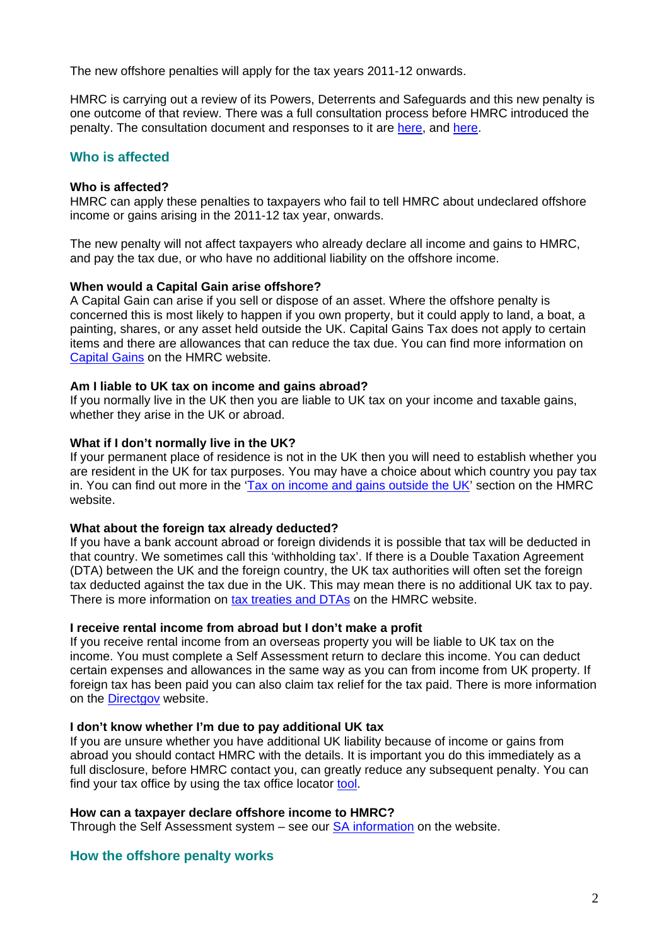The new offshore penalties will apply for the tax years 2011-12 onwards.

HMRC is carrying out a review of its Powers, Deterrents and Safeguards and this new penalty is one outcome of that review. There was a full consultation process before HMRC introduced the penalty. The consultation document and responses to it are [here](http://customs.hmrc.gov.uk/channelsPortalWebApp/downloadFile?contentID=HMCE_PROD1_029996), and [here.](http://customs.hmrc.gov.uk/channelsPortalWebApp/downloadFile?contentID=HMCE_PROD1_030337)

## <span id="page-1-0"></span>**Who is affected**

## **Who is affected?**

HMRC can apply these penalties to taxpayers who fail to tell HMRC about undeclared offshore income or gains arising in the 2011-12 tax year, onwards.

The new penalty will not affect taxpayers who already declare all income and gains to HMRC, and pay the tax due, or who have no additional liability on the offshore income.

## **When would a Capital Gain arise offshore?**

A Capital Gain can arise if you sell or dispose of an asset. Where the offshore penalty is concerned this is most likely to happen if you own property, but it could apply to land, a boat, a painting, shares, or any asset held outside the UK. Capital Gains Tax does not apply to certain items and there are allowances that can reduce the tax due. You can find more information on [Capital Gains](http://www.hmrc.gov.uk/cgt/intro/basics.htm) on the HMRC website.

## **Am I liable to UK tax on income and gains abroad?**

If you normally live in the UK then you are liable to UK tax on your income and taxable gains, whether they arise in the UK or abroad.

## **What if I don't normally live in the UK?**

If your permanent place of residence is not in the UK then you will need to establish whether you are resident in the UK for tax purposes. You may have a choice about which country you pay tax in. You can find out more in the ['Tax on income and gains outside the UK](http://www.hmrc.gov.uk/migrantworkers/tax-non-uk.htm)' section on the HMRC website.

#### **What about the foreign tax already deducted?**

If you have a bank account abroad or foreign dividends it is possible that tax will be deducted in that country. We sometimes call this 'withholding tax'. If there is a Double Taxation Agreement (DTA) between the UK and the foreign country, the UK tax authorities will often set the foreign tax deducted against the tax due in the UK. This may mean there is no additional UK tax to pay. There is more information on [tax treaties and DTAs](http://www.hmrc.gov.uk/si/double.htm) on the HMRC website.

#### **I receive rental income from abroad but I don't make a profit**

If you receive rental income from an overseas property you will be liable to UK tax on the income. You must complete a Self Assessment return to declare this income. You can deduct certain expenses and allowances in the same way as you can from income from UK property. If foreign tax has been paid you can also claim tax relief for the tax paid. There is more information on the [Directgov](http://www.direct.gov.uk/en/MoneyTaxAndBenefits/Taxes/TaxOnPropertyAndRentalIncome/DG_10013347) website.

#### **I don't know whether I'm due to pay additional UK tax**

If you are unsure whether you have additional UK liability because of income or gains from abroad you should contact HMRC with the details. It is important you do this immediately as a full disclosure, before HMRC contact you, can greatly reduce any subsequent penalty. You can find your tax office by using the tax office locator [tool.](http://search2.hmrc.gov.uk/kbroker/hmrc/locator/locator.jsp?type=1)

## **How can a taxpayer declare offshore income to HMRC?**

Through the Self Assessment system  $-$  see our  $S$ A information on the website.

## <span id="page-1-1"></span>**How the offshore penalty works**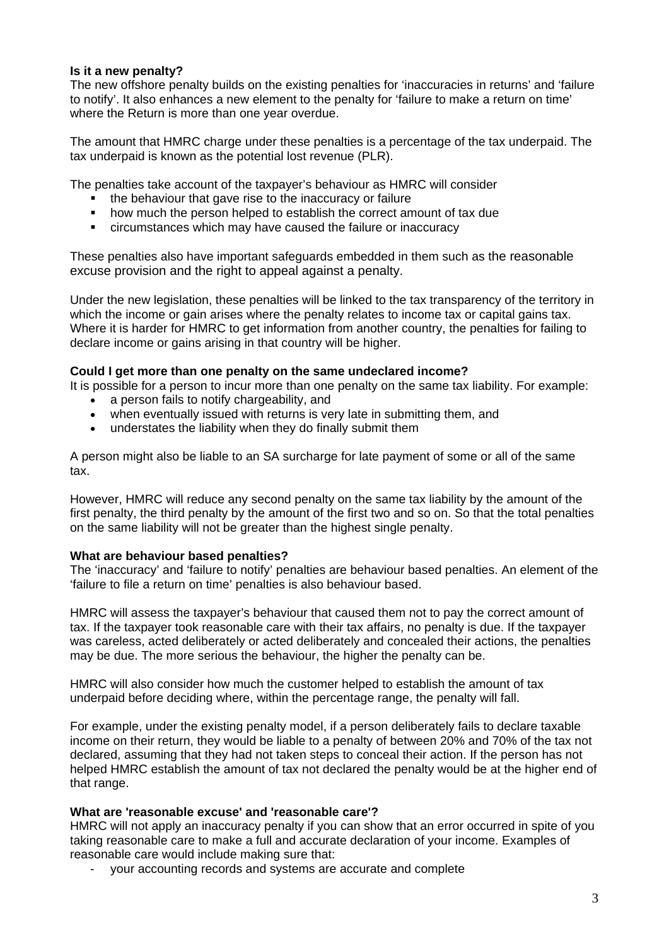## **Is it a new penalty?**

The new offshore penalty builds on the existing penalties for 'inaccuracies in returns' and 'failure to notify'. It also enhances a new element to the penalty for 'failure to make a return on time' where the Return is more than one year overdue.

The amount that HMRC charge under these penalties is a percentage of the tax underpaid. The tax underpaid is known as the potential lost revenue (PLR).

The penalties take account of the taxpayer's behaviour as HMRC will consider

- the behaviour that gave rise to the inaccuracy or failure
- how much the person helped to establish the correct amount of tax due
- circumstances which may have caused the failure or inaccuracy

These penalties also have important safeguards embedded in them such as the reasonable excuse provision and the right to appeal against a penalty.

Under the new legislation, these penalties will be linked to the tax transparency of the territory in which the income or gain arises where the penalty relates to income tax or capital gains tax. Where it is harder for HMRC to get information from another country, the penalties for failing to declare income or gains arising in that country will be higher.

## **Could I get more than one penalty on the same undeclared income?**

It is possible for a person to incur more than one penalty on the same tax liability. For example:

- a person fails to notify chargeability, and
- when eventually issued with returns is very late in submitting them, and
- understates the liability when they do finally submit them

A person might also be liable to an SA surcharge for late payment of some or all of the same tax.

However, HMRC will reduce any second penalty on the same tax liability by the amount of the first penalty, the third penalty by the amount of the first two and so on. So that the total penalties on the same liability will not be greater than the highest single penalty.

## **What are behaviour based penalties?**

The 'inaccuracy' and 'failure to notify' penalties are behaviour based penalties. An element of the 'failure to file a return on time' penalties is also behaviour based.

HMRC will assess the taxpayer's behaviour that caused them not to pay the correct amount of tax. If the taxpayer took reasonable care with their tax affairs, no penalty is due. If the taxpayer was careless, acted deliberately or acted deliberately and concealed their actions, the penalties may be due. The more serious the behaviour, the higher the penalty can be.

HMRC will also consider how much the customer helped to establish the amount of tax underpaid before deciding where, within the percentage range, the penalty will fall.

For example, under the existing penalty model, if a person deliberately fails to declare taxable income on their return, they would be liable to a penalty of between 20% and 70% of the tax not declared, assuming that they had not taken steps to conceal their action. If the person has not helped HMRC establish the amount of tax not declared the penalty would be at the higher end of that range.

## **What are 'reasonable excuse' and 'reasonable care'?**

HMRC will not apply an inaccuracy penalty if you can show that an error occurred in spite of you taking reasonable care to make a full and accurate declaration of your income. Examples of reasonable care would include making sure that:

- your accounting records and systems are accurate and complete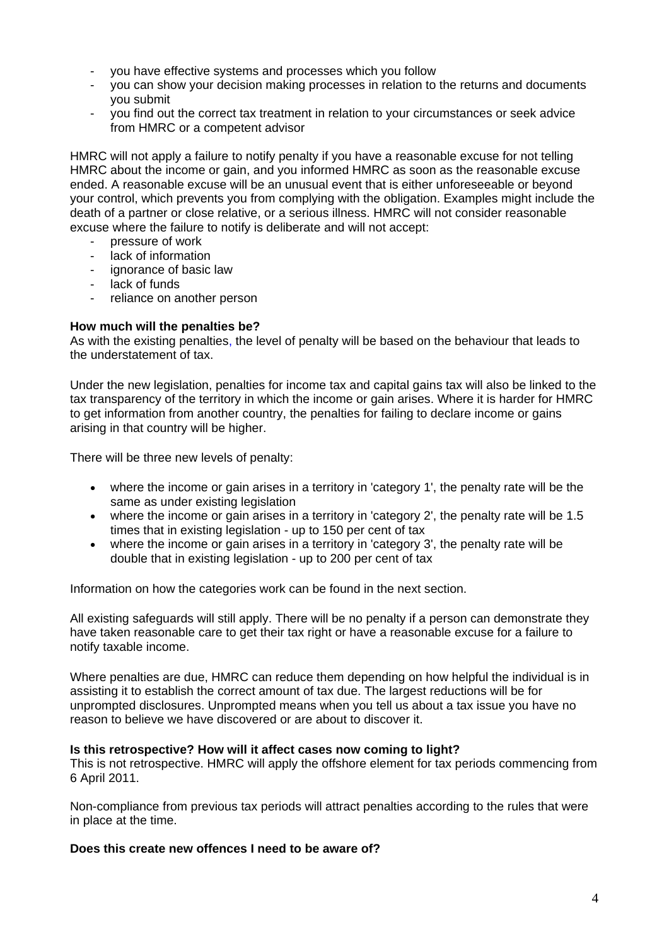- you have effective systems and processes which you follow
- you can show your decision making processes in relation to the returns and documents you submit
- you find out the correct tax treatment in relation to your circumstances or seek advice from HMRC or a competent advisor

HMRC will not apply a failure to notify penalty if you have a reasonable excuse for not telling HMRC about the income or gain, and you informed HMRC as soon as the reasonable excuse ended. A reasonable excuse will be an unusual event that is either unforeseeable or beyond your control, which prevents you from complying with the obligation. Examples might include the death of a partner or close relative, or a serious illness. HMRC will not consider reasonable excuse where the failure to notify is deliberate and will not accept:

- pressure of work
- lack of information
- ignorance of basic law
- lack of funds
- reliance on another person

## **How much will the penalties be?**

As with the existing penalties, the level of penalty will be based on the behaviour that leads to the understatement of tax.

Under the new legislation, penalties for income tax and capital gains tax will also be linked to the tax transparency of the territory in which the income or gain arises. Where it is harder for HMRC to get information from another country, the penalties for failing to declare income or gains arising in that country will be higher.

There will be three new levels of penalty:

- where the income or gain arises in a territory in 'category 1', the penalty rate will be the same as under existing legislation
- where the income or gain arises in a territory in 'category 2', the penalty rate will be 1.5 times that in existing legislation - up to 150 per cent of tax
- where the income or gain arises in a territory in 'category 3', the penalty rate will be double that in existing legislation - up to 200 per cent of tax

Information on how the categories work can be found in the next section.

All existing safeguards will still apply. There will be no penalty if a person can demonstrate they have taken reasonable care to get their tax right or have a reasonable excuse for a failure to notify taxable income.

Where penalties are due, HMRC can reduce them depending on how helpful the individual is in assisting it to establish the correct amount of tax due. The largest reductions will be for unprompted disclosures. Unprompted means when you tell us about a tax issue you have no reason to believe we have discovered or are about to discover it.

#### **Is this retrospective? How will it affect cases now coming to light?**

This is not retrospective. HMRC will apply the offshore element for tax periods commencing from 6 April 2011.

Non-compliance from previous tax periods will attract penalties according to the rules that were in place at the time.

#### **Does this create new offences I need to be aware of?**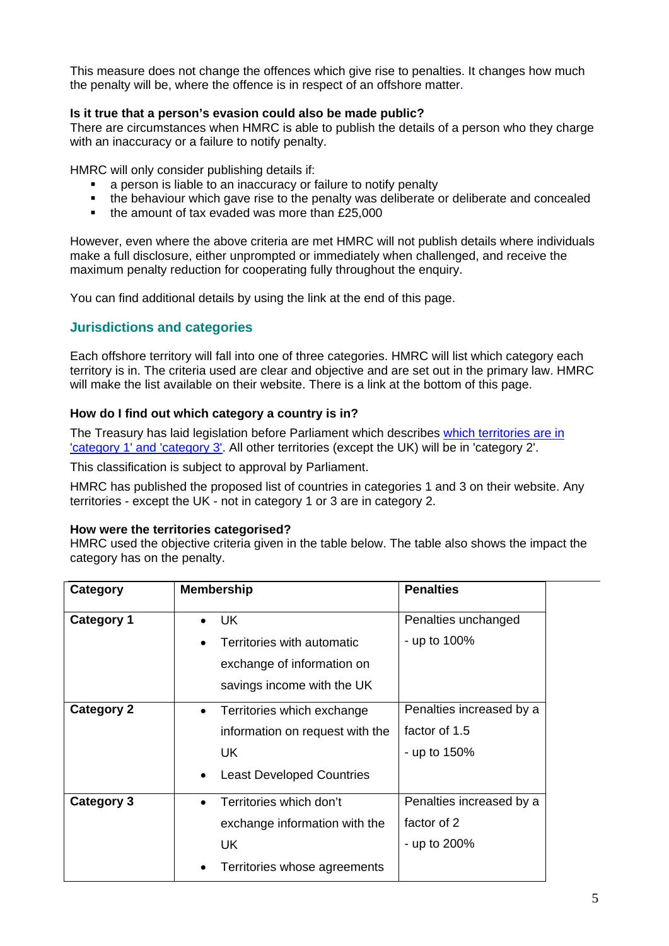This measure does not change the offences which give rise to penalties. It changes how much the penalty will be, where the offence is in respect of an offshore matter.

## **Is it true that a person's evasion could also be made public?**

There are circumstances when HMRC is able to publish the details of a person who they charge with an inaccuracy or a failure to notify penalty.

HMRC will only consider publishing details if:

- a person is liable to an inaccuracy or failure to notify penalty
- the behaviour which gave rise to the penalty was deliberate or deliberate and concealed
- the amount of tax evaded was more than £25,000

However, even where the above criteria are met HMRC will not publish details where individuals make a full disclosure, either unprompted or immediately when challenged, and receive the maximum penalty reduction for cooperating fully throughout the enquiry.

You can find additional details by using the link at the end of this page.

## <span id="page-4-0"></span>**Jurisdictions and categories**

Each offshore territory will fall into one of three categories. HMRC will list which category each territory is in. The criteria used are clear and objective and are set out in the primary law. HMRC will make the list available on their website. There is a link at the bottom of this page.

## **How do I find out which category a country is in?**

The Treasury has laid legislation before Parliament which describes [which territories are in](http://www.hmrc.gov.uk/news/territories-category.htm)  ['category 1' and 'category 3'.](http://www.hmrc.gov.uk/news/territories-category.htm) All other territories (except the UK) will be in 'category 2'.

This classification is subject to approval by Parliament.

HMRC has published the proposed list of countries in categories 1 and 3 on their website. Any territories - except the UK - not in category 1 or 3 are in category 2.

#### **How were the territories categorised?**

HMRC used the objective criteria given in the table below. The table also shows the impact the category has on the penalty.

| <b>Category</b>   | <b>Membership</b>                             | <b>Penalties</b>         |
|-------------------|-----------------------------------------------|--------------------------|
| <b>Category 1</b> | UK.                                           | Penalties unchanged      |
|                   | Territories with automatic                    | - up to 100%             |
|                   | exchange of information on                    |                          |
|                   | savings income with the UK                    |                          |
| <b>Category 2</b> | Territories which exchange<br>$\bullet$       | Penalties increased by a |
|                   | information on request with the               | factor of 1.5            |
|                   | UK.                                           | - up to 150%             |
|                   | <b>Least Developed Countries</b><br>$\bullet$ |                          |
| <b>Category 3</b> | Territories which don't                       | Penalties increased by a |
|                   | exchange information with the                 | factor of 2              |
|                   | UK.                                           | - up to 200%             |
|                   | Territories whose agreements                  |                          |